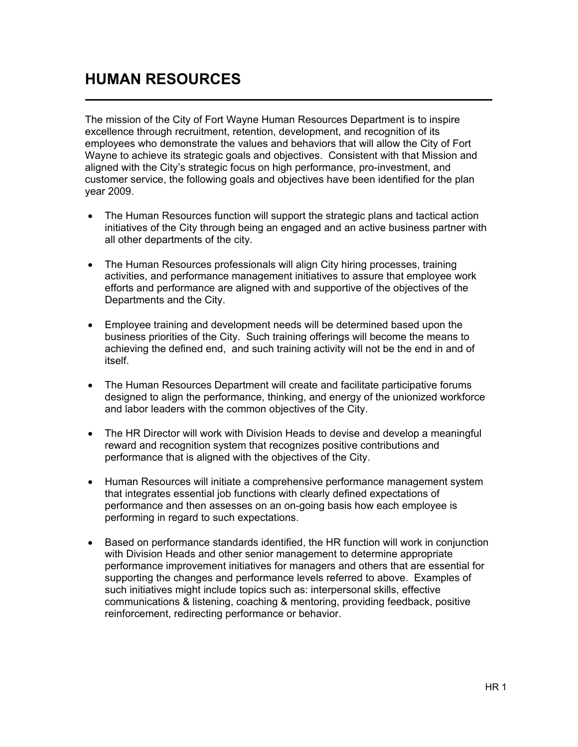## HUMAN RESOURCES

The mission of the City of Fort Wayne Human Resources Department is to inspire excellence through recruitment, retention, development, and recognition of its employees who demonstrate the values and behaviors that will allow the City of Fort Wayne to achieve its strategic goals and objectives. Consistent with that Mission and aligned with the City's strategic focus on high performance, pro-investment, and customer service, the following goals and objectives have been identified for the plan year 2009.

- The Human Resources function will support the strategic plans and tactical action initiatives of the City through being an engaged and an active business partner with all other departments of the city.
- The Human Resources professionals will align City hiring processes, training activities, and performance management initiatives to assure that employee work efforts and performance are aligned with and supportive of the objectives of the Departments and the City.
- Employee training and development needs will be determined based upon the business priorities of the City. Such training offerings will become the means to achieving the defined end, and such training activity will not be the end in and of itself.
- The Human Resources Department will create and facilitate participative forums designed to align the performance, thinking, and energy of the unionized workforce and labor leaders with the common objectives of the City.
- The HR Director will work with Division Heads to devise and develop a meaningful reward and recognition system that recognizes positive contributions and performance that is aligned with the objectives of the City.
- Human Resources will initiate a comprehensive performance management system that integrates essential job functions with clearly defined expectations of performance and then assesses on an on-going basis how each employee is performing in regard to such expectations.
- Based on performance standards identified, the HR function will work in conjunction with Division Heads and other senior management to determine appropriate performance improvement initiatives for managers and others that are essential for supporting the changes and performance levels referred to above. Examples of such initiatives might include topics such as: interpersonal skills, effective communications & listening, coaching & mentoring, providing feedback, positive reinforcement, redirecting performance or behavior.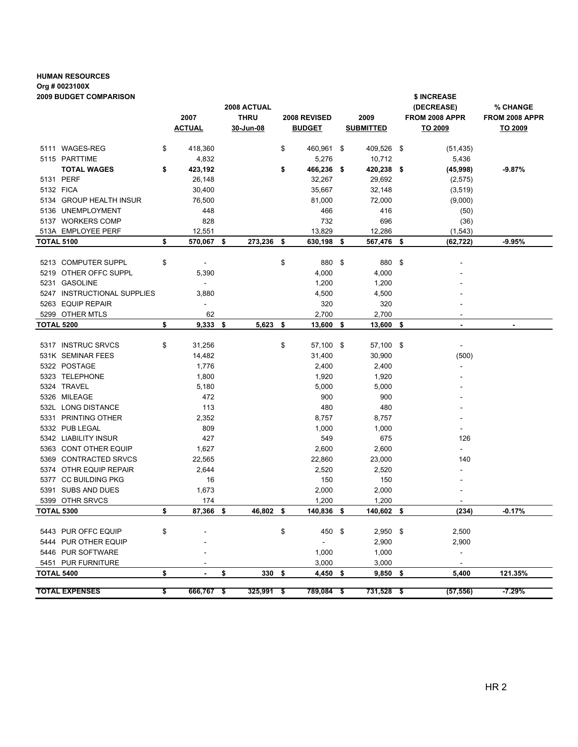## HUMAN RESOURCES Org # 0023100X 2009 BUDGET COMPARISON \$ INCREASE

|                   | ZUUJ DUUUEI VUIWIPARISUN        |                                | 2008 ACTUAL      |                            |      |                      |  | <b>SINCREASE</b><br>(DECREASE) | % CHANGE                 |
|-------------------|---------------------------------|--------------------------------|------------------|----------------------------|------|----------------------|--|--------------------------------|--------------------------|
|                   |                                 | 2007                           | <b>THRU</b>      | 2008 REVISED               | 2009 |                      |  | FROM 2008 APPR                 | FROM 2008 APPR           |
|                   |                                 | <b>ACTUAL</b>                  | 30-Jun-08        | <b>BUDGET</b>              |      | <b>SUBMITTED</b>     |  | TO 2009                        | TO 2009                  |
|                   |                                 |                                |                  |                            |      |                      |  |                                |                          |
|                   | 5111 WAGES-REG                  | \$<br>418,360                  |                  | \$<br>460,961 \$           |      | 409,526 \$           |  | (51, 435)                      |                          |
|                   | 5115 PARTTIME                   | 4,832                          |                  | 5,276                      |      | 10,712               |  | 5,436                          |                          |
|                   | <b>TOTAL WAGES</b><br>5131 PERF | \$<br>423,192<br>26,148        |                  | \$<br>466,236 \$<br>32,267 |      | 420,238 \$<br>29,692 |  | (45,998)                       | $-9.87%$                 |
|                   | 5132 FICA                       | 30,400                         |                  | 35,667                     |      | 32,148               |  | (2, 575)                       |                          |
|                   | 5134 GROUP HEALTH INSUR         | 76,500                         |                  | 81,000                     |      | 72,000               |  | (3, 519)                       |                          |
|                   | 5136 UNEMPLOYMENT               | 448                            |                  | 466                        |      | 416                  |  | (9,000)                        |                          |
|                   | 5137 WORKERS COMP               | 828                            |                  | 732                        |      | 696                  |  | (50)<br>(36)                   |                          |
|                   | 513A EMPLOYEE PERF              | 12,551                         |                  | 13,829                     |      | 12,286               |  | (1, 543)                       |                          |
| <b>TOTAL 5100</b> |                                 | \$<br>570,067                  | \$<br>273,236 \$ | 630,198                    | \$   | 567,476 \$           |  | (62, 722)                      | $-9.95%$                 |
|                   |                                 |                                |                  |                            |      |                      |  |                                |                          |
|                   | 5213 COMPUTER SUPPL             | \$<br>$\overline{\phantom{a}}$ |                  | \$<br>880 \$               |      | 880 \$               |  |                                |                          |
|                   | 5219 OTHER OFFC SUPPL           | 5,390                          |                  | 4,000                      |      | 4,000                |  |                                |                          |
|                   | 5231 GASOLINE                   | ÷.                             |                  | 1,200                      |      | 1,200                |  |                                |                          |
|                   | 5247 INSTRUCTIONAL SUPPLIES     | 3,880                          |                  | 4,500                      |      | 4,500                |  |                                |                          |
|                   | 5263 EQUIP REPAIR               | $\overline{\phantom{a}}$       |                  | 320                        |      | 320                  |  |                                |                          |
|                   | 5299 OTHER MTLS                 | 62                             |                  | 2,700                      |      | 2,700                |  | $\sim$                         |                          |
| TOTAL 5200        |                                 | \$<br>9,333                    | \$<br>5,623      | \$<br>13,600               | \$   | 13,600 \$            |  | $\blacksquare$                 | $\overline{\phantom{a}}$ |
|                   |                                 |                                |                  |                            |      |                      |  |                                |                          |
|                   | 5317 INSTRUC SRVCS              | \$<br>31,256                   |                  | \$<br>57,100 \$            |      | 57,100 \$            |  | $\overline{\phantom{a}}$       |                          |
|                   | 531K SEMINAR FEES               | 14,482                         |                  | 31,400                     |      | 30,900               |  | (500)                          |                          |
|                   | 5322 POSTAGE                    | 1,776                          |                  | 2,400                      |      | 2,400                |  |                                |                          |
|                   | 5323 TELEPHONE                  | 1,800                          |                  | 1,920                      |      | 1,920                |  |                                |                          |
|                   | 5324 TRAVEL                     | 5,180                          |                  | 5,000                      |      | 5,000                |  |                                |                          |
|                   | 5326 MILEAGE                    | 472                            |                  | 900                        |      | 900                  |  |                                |                          |
|                   | 532L LONG DISTANCE              | 113                            |                  | 480                        |      | 480                  |  |                                |                          |
|                   | 5331 PRINTING OTHER             | 2,352                          |                  | 8,757                      |      | 8,757                |  |                                |                          |
|                   | 5332 PUB LEGAL                  | 809                            |                  | 1,000                      |      | 1,000                |  | $\blacksquare$                 |                          |
|                   | 5342 LIABILITY INSUR            | 427                            |                  | 549                        |      | 675                  |  | 126                            |                          |
|                   | 5363 CONT OTHER EQUIP           | 1,627                          |                  | 2,600                      |      | 2,600                |  | ÷.                             |                          |
|                   | 5369 CONTRACTED SRVCS           | 22,565                         |                  | 22,860                     |      | 23,000               |  | 140                            |                          |
|                   | 5374 OTHR EQUIP REPAIR          | 2,644                          |                  | 2,520                      |      | 2,520                |  |                                |                          |
|                   | 5377 CC BUILDING PKG            | 16                             |                  | 150                        |      | 150                  |  |                                |                          |
|                   | 5391 SUBS AND DUES              | 1,673                          |                  | 2,000                      |      | 2,000                |  |                                |                          |
|                   | 5399 OTHR SRVCS                 | 174                            |                  | 1,200                      |      | 1,200                |  |                                |                          |
| <b>TOTAL 5300</b> |                                 | \$<br>87,366                   | \$<br>46,802 \$  | 140,836                    | \$   | 140,602 \$           |  | (234)                          | $-0.17%$                 |
|                   |                                 |                                |                  |                            |      |                      |  |                                |                          |
|                   | 5443 PUR OFFC EQUIP             | \$                             |                  | \$<br>450 \$               |      | $2,950$ \$           |  | 2,500                          |                          |
|                   | 5444 PUR OTHER EQUIP            |                                |                  | $\sim$                     |      | 2,900                |  | 2,900                          |                          |
|                   | 5446 PUR SOFTWARE               |                                |                  | 1,000                      |      | 1,000                |  | $\blacksquare$                 |                          |
|                   | 5451 PUR FURNITURE              |                                |                  | 3,000                      |      | 3,000                |  |                                |                          |
| <b>TOTAL 5400</b> |                                 | \$                             | \$<br>330 \$     | $4,450$ \$                 |      | $9,850$ \$           |  | 5,400                          | 121.35%                  |
|                   | <b>TOTAL EXPENSES</b>           | 666,767 \$                     |                  |                            |      |                      |  |                                |                          |
|                   |                                 | \$                             | 325,991 \$       | 789,084 \$                 |      | 731,528 \$           |  | (57, 556)                      | $-7.29%$                 |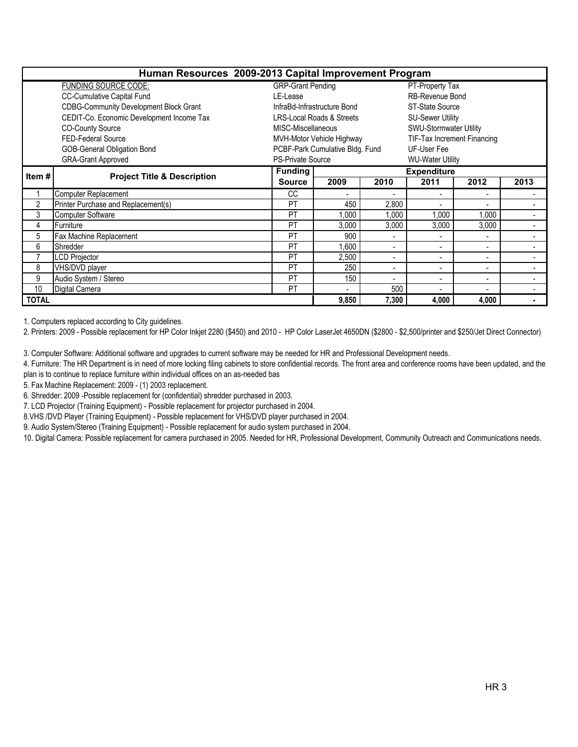|                |                                               |                          | Human Resources 2009-2013 Capital Improvement Program |                          |                             |                          |                          |  |  |  |  |  |
|----------------|-----------------------------------------------|--------------------------|-------------------------------------------------------|--------------------------|-----------------------------|--------------------------|--------------------------|--|--|--|--|--|
|                | FUNDING SOURCE CODE:                          | <b>GRP-Grant Pending</b> |                                                       | PT-Property Tax          |                             |                          |                          |  |  |  |  |  |
|                | CC-Cumulative Capital Fund                    | LE-Lease                 |                                                       | <b>RB-Revenue Bond</b>   |                             |                          |                          |  |  |  |  |  |
|                | <b>CDBG-Community Development Block Grant</b> |                          | InfraBd-Infrastructure Bond                           | ST-State Source          |                             |                          |                          |  |  |  |  |  |
|                | CEDIT-Co. Economic Development Income Tax     |                          | <b>LRS-Local Roads &amp; Streets</b>                  | <b>SU-Sewer Utility</b>  |                             |                          |                          |  |  |  |  |  |
|                | <b>CO-County Source</b>                       | MISC-Miscellaneous       |                                                       |                          | SWU-Stormwater Utility      |                          |                          |  |  |  |  |  |
|                | FED-Federal Source                            |                          | MVH-Motor Vehicle Highway                             |                          | TIF-Tax Increment Financing |                          |                          |  |  |  |  |  |
|                | <b>GOB-General Obligation Bond</b>            |                          | PCBF-Park Cumulative Bldg. Fund                       | UF-User Fee              |                             |                          |                          |  |  |  |  |  |
|                | <b>GRA-Grant Approved</b>                     | <b>PS-Private Source</b> |                                                       | <b>WU-Water Utility</b>  |                             |                          |                          |  |  |  |  |  |
| Item #         | <b>Project Title &amp; Description</b>        | <b>Funding</b>           |                                                       |                          | <b>Expenditure</b>          |                          |                          |  |  |  |  |  |
|                |                                               | <b>Source</b>            | 2009                                                  | 2010                     | 2011                        | 2012                     | 2013                     |  |  |  |  |  |
|                | Computer Replacement                          | <sub>CC</sub>            | $\overline{a}$                                        | $\overline{a}$           |                             | $\overline{\phantom{0}}$ |                          |  |  |  |  |  |
| $\overline{2}$ | Printer Purchase and Replacement(s)           | PT                       | 450                                                   | 2,800                    |                             |                          |                          |  |  |  |  |  |
| 3              | <b>Computer Software</b>                      | PT                       | 1,000                                                 | 1,000                    | 1,000                       | 1.000                    | $\overline{a}$           |  |  |  |  |  |
| 4              | Furniture                                     | PT                       | 3,000                                                 | 3,000                    | 3,000                       | 3,000                    |                          |  |  |  |  |  |
| 5              | Fax Machine Replacement                       | PT                       | 900                                                   |                          |                             | $\blacksquare$           |                          |  |  |  |  |  |
| 6              | Shredder                                      | PT                       | 1,600                                                 | $\blacksquare$           | ۰                           | $\overline{\phantom{a}}$ | $\blacksquare$           |  |  |  |  |  |
| 7              | <b>LCD Projector</b>                          | PT                       | 2,500                                                 | $\blacksquare$           | ٠                           | $\blacksquare$           |                          |  |  |  |  |  |
| 8              | VHS/DVD player                                | PT                       | 250                                                   | $\blacksquare$           | ۰                           | $\blacksquare$           |                          |  |  |  |  |  |
| 9              | Audio System / Stereo                         | PT                       | 150                                                   | $\overline{\phantom{a}}$ |                             | $\blacksquare$           |                          |  |  |  |  |  |
| 10             | Digital Camera                                | PT                       | $\blacksquare$                                        | 500                      | $\blacksquare$              | $\blacksquare$           | $\overline{\phantom{a}}$ |  |  |  |  |  |
| <b>TOTAL</b>   |                                               | 9.850                    | 7,300                                                 | 4.000                    | 4.000                       |                          |                          |  |  |  |  |  |

1. Computers replaced according to City guidelines.

2. Printers: 2009 - Possible replacement for HP Color Inkjet 2280 (\$450) and 2010 - HP Color LaserJet 4650DN (\$2800 - \$2,500/printer and \$250/Jet Direct Connector)

3. Computer Software: Additional software and upgrades to current software may be needed for HR and Professional Development needs.

4. Furniture: The HR Department is in need of more locking filing cabinets to store confidential records. The front area and conference rooms have been updated, and the plan is to continue to replace furniture within individual offices on an as-needed bas

5. Fax Machine Replacement: 2009 - (1) 2003 replacement.

6. Shredder: 2009 -Possible replacement for (confidential) shredder purchased in 2003.

7. LCD Projector (Training Equipment) - Possible replacement for projector purchased in 2004.

8.VHS /DVD Player (Training Equipment) - Possible replacement for VHS/DVD player purchased in 2004.

9. Audio System/Stereo (Training Equipment) - Possible replacement for audio system purchased in 2004.

10. Digital Camera: Possible replacement for camera purchased in 2005. Needed for HR, Professional Development, Community Outreach and Communications needs.